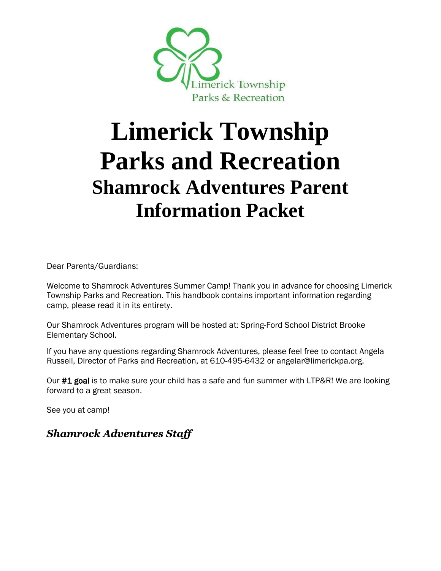

# **Limerick Township Parks and Recreation Shamrock Adventures Parent Information Packet**

Dear Parents/Guardians:

Welcome to Shamrock Adventures Summer Camp! Thank you in advance for choosing Limerick Township Parks and Recreation. This handbook contains important information regarding camp, please read it in its entirety.

Our Shamrock Adventures program will be hosted at: Spring-Ford School District Brooke Elementary School.

If you have any questions regarding Shamrock Adventures, please feel free to contact Angela Russell, Director of Parks and Recreation, at 610-495-6432 or angelar@limerickpa.org.

Our #1 goal is to make sure your child has a safe and fun summer with LTP&R! We are looking forward to a great season.

See you at camp!

*Shamrock Adventures Staff*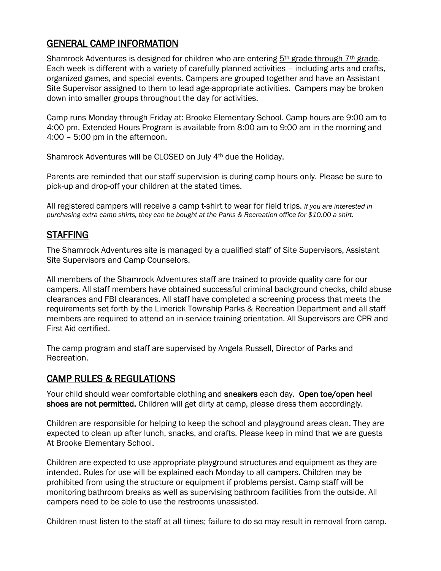# GENERAL CAMP INFORMATION

Shamrock Adventures is designed for children who are entering  $5<sup>th</sup>$  grade through  $7<sup>th</sup>$  grade. Each week is different with a variety of carefully planned activities – including arts and crafts, organized games, and special events. Campers are grouped together and have an Assistant Site Supervisor assigned to them to lead age-appropriate activities. Campers may be broken down into smaller groups throughout the day for activities.

Camp runs Monday through Friday at: Brooke Elementary School. Camp hours are 9:00 am to 4:00 pm. Extended Hours Program is available from 8:00 am to 9:00 am in the morning and 4:00 – 5:00 pm in the afternoon.

Shamrock Adventures will be CLOSED on July 4th due the Holiday.

Parents are reminded that our staff supervision is during camp hours only. Please be sure to pick-up and drop-off your children at the stated times.

All registered campers will receive a camp t-shirt to wear for field trips. *If you are interested in purchasing extra camp shirts, they can be bought at the Parks & Recreation office for \$10.00 a shirt.* 

# STAFFING

The Shamrock Adventures site is managed by a qualified staff of Site Supervisors, Assistant Site Supervisors and Camp Counselors.

All members of the Shamrock Adventures staff are trained to provide quality care for our campers. All staff members have obtained successful criminal background checks, child abuse clearances and FBI clearances. All staff have completed a screening process that meets the requirements set forth by the Limerick Township Parks & Recreation Department and all staff members are required to attend an in-service training orientation. All Supervisors are CPR and First Aid certified.

The camp program and staff are supervised by Angela Russell, Director of Parks and Recreation.

#### CAMP RULES & REGULATIONS

Your child should wear comfortable clothing and sneakers each day. Open toe/open heel shoes are not permitted. Children will get dirty at camp, please dress them accordingly.

Children are responsible for helping to keep the school and playground areas clean. They are expected to clean up after lunch, snacks, and crafts. Please keep in mind that we are guests At Brooke Elementary School.

Children are expected to use appropriate playground structures and equipment as they are intended. Rules for use will be explained each Monday to all campers. Children may be prohibited from using the structure or equipment if problems persist. Camp staff will be monitoring bathroom breaks as well as supervising bathroom facilities from the outside. All campers need to be able to use the restrooms unassisted.

Children must listen to the staff at all times; failure to do so may result in removal from camp.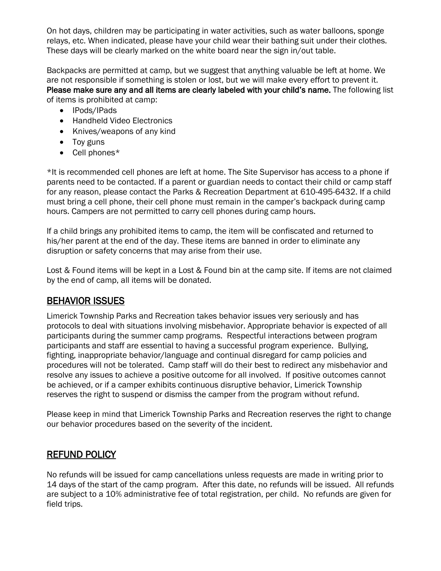On hot days, children may be participating in water activities, such as water balloons, sponge relays, etc. When indicated, please have your child wear their bathing suit under their clothes. These days will be clearly marked on the white board near the sign in/out table.

Backpacks are permitted at camp, but we suggest that anything valuable be left at home. We are not responsible if something is stolen or lost, but we will make every effort to prevent it. Please make sure any and all items are clearly labeled with your child's name. The following list of items is prohibited at camp:

- IPods/IPads
- Handheld Video Electronics
- Knives/weapons of any kind
- Toy guns
- Cell phones\*

\*It is recommended cell phones are left at home. The Site Supervisor has access to a phone if parents need to be contacted. If a parent or guardian needs to contact their child or camp staff for any reason, please contact the Parks & Recreation Department at 610-495-6432. If a child must bring a cell phone, their cell phone must remain in the camper's backpack during camp hours. Campers are not permitted to carry cell phones during camp hours.

If a child brings any prohibited items to camp, the item will be confiscated and returned to his/her parent at the end of the day. These items are banned in order to eliminate any disruption or safety concerns that may arise from their use.

Lost & Found items will be kept in a Lost & Found bin at the camp site. If items are not claimed by the end of camp, all items will be donated.

### BEHAVIOR ISSUES

Limerick Township Parks and Recreation takes behavior issues very seriously and has protocols to deal with situations involving misbehavior. Appropriate behavior is expected of all participants during the summer camp programs. Respectful interactions between program participants and staff are essential to having a successful program experience. Bullying, fighting, inappropriate behavior/language and continual disregard for camp policies and procedures will not be tolerated. Camp staff will do their best to redirect any misbehavior and resolve any issues to achieve a positive outcome for all involved. If positive outcomes cannot be achieved, or if a camper exhibits continuous disruptive behavior, Limerick Township reserves the right to suspend or dismiss the camper from the program without refund.

Please keep in mind that Limerick Township Parks and Recreation reserves the right to change our behavior procedures based on the severity of the incident.

#### REFUND POLICY

No refunds will be issued for camp cancellations unless requests are made in writing prior to 14 days of the start of the camp program. After this date, no refunds will be issued. All refunds are subject to a 10% administrative fee of total registration, per child. No refunds are given for field trips.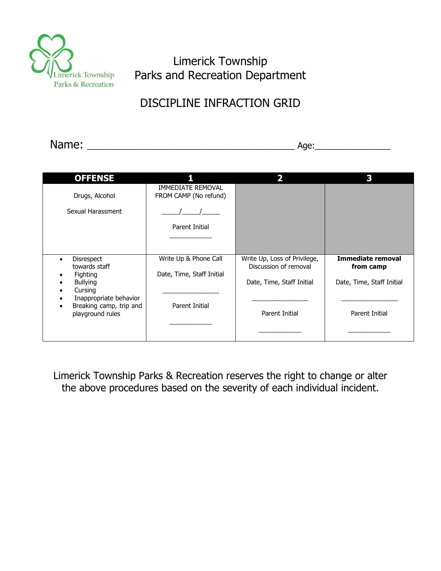

Limerick Township Parks and Recreation Department

# DISCIPLINE INFRACTION GRID

| ™≏'<br>119111C | $\sim$ $\sim$ $\sim$<br>. .<br>ـ |
|----------------|----------------------------------|
|                |                                  |

| <b>OFFENSE</b>                                                                                                                                               |                                                                      |                                                                                                      |                                                                               |
|--------------------------------------------------------------------------------------------------------------------------------------------------------------|----------------------------------------------------------------------|------------------------------------------------------------------------------------------------------|-------------------------------------------------------------------------------|
| Drugs, Alcohol                                                                                                                                               | <b>IMMEDIATE REMOVAL</b><br>FROM CAMP (No refund)                    |                                                                                                      |                                                                               |
| Sexual Harassment                                                                                                                                            |                                                                      |                                                                                                      |                                                                               |
|                                                                                                                                                              | Parent Initial                                                       |                                                                                                      |                                                                               |
|                                                                                                                                                              |                                                                      |                                                                                                      |                                                                               |
| <b>Disrespect</b><br>towards staff<br><b>Fighting</b><br><b>Bullying</b><br>Cursing<br>Inappropriate behavior<br>Breaking camp, trip and<br>playground rules | Write Up & Phone Call<br>Date, Time, Staff Initial<br>Parent Initial | Write Up, Loss of Privilege,<br>Discussion of removal<br>Date, Time, Staff Initial<br>Parent Initial | Immediate removal<br>from camp<br>Date, Time, Staff Initial<br>Parent Initial |

Limerick Township Parks & Recreation reserves the right to change or alter the above procedures based on the severity of each individual incident.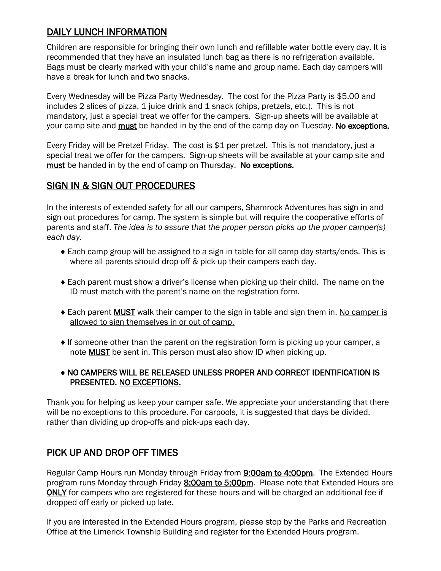# DAILY LUNCH INFORMATION

Children are responsible for bringing their own lunch and refillable water bottle every day. It is recommended that they have an insulated lunch bag as there is no refrigeration available. Bags must be clearly marked with your child's name and group name. Each day campers will have a break for lunch and two snacks.

Every Wednesday will be Pizza Party Wednesday. The cost for the Pizza Party is \$5.00 and includes 2 slices of pizza, 1 juice drink and 1 snack (chips, pretzels, etc.). This is not mandatory, just a special treat we offer for the campers. Sign-up sheets will be available at your camp site and must be handed in by the end of the camp day on Tuesday. No exceptions.

Every Friday will be Pretzel Friday. The cost is \$1 per pretzel. This is not mandatory, just a special treat we offer for the campers. Sign-up sheets will be available at your camp site and must be handed in by the end of camp on Thursday. No exceptions.

# SIGN IN & SIGN OUT PROCEDURES

In the interests of extended safety for all our campers, Shamrock Adventures has sign in and sign out procedures for camp. The system is simple but will require the cooperative efforts of parents and staff. *The idea is to assure that the proper person picks up the proper camper(s) each day.*

- Each camp group will be assigned to a sign in table for all camp day starts/ends. This is where all parents should drop-off & pick-up their campers each day.
- Each parent must show a driver's license when picking up their child. The name on the ID must match with the parent's name on the registration form.
- ◆ Each parent **MUST** walk their camper to the sign in table and sign them in. No camper is allowed to sign themselves in or out of camp.
- $\bullet$  If someone other than the parent on the registration form is picking up your camper, a note MUST be sent in. This person must also show ID when picking up.

#### NO CAMPERS WILL BE RELEASED UNLESS PROPER AND CORRECT IDENTIFICATION IS PRESENTED. NO EXCEPTIONS.

Thank you for helping us keep your camper safe. We appreciate your understanding that there will be no exceptions to this procedure. For carpools, it is suggested that days be divided, rather than dividing up drop-offs and pick-ups each day.

#### PICK UP AND DROP OFF TIMES

Regular Camp Hours run Monday through Friday from 9:00am to 4:00pm. The Extended Hours program runs Monday through Friday 8:00am to 5:00pm. Please note that Extended Hours are ONLY for campers who are registered for these hours and will be charged an additional fee if dropped off early or picked up late.

If you are interested in the Extended Hours program, please stop by the Parks and Recreation Office at the Limerick Township Building and register for the Extended Hours program.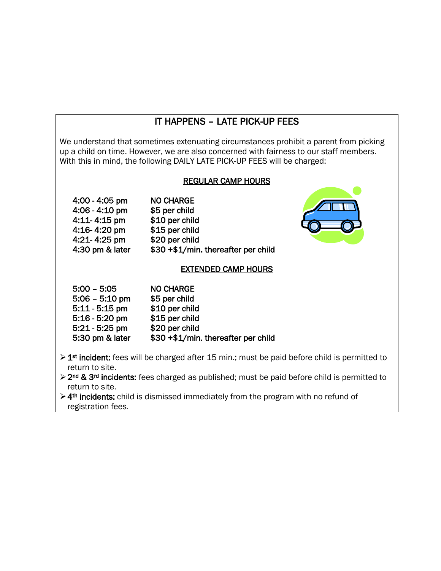# IT HAPPENS – LATE PICK-UP FEES

We understand that sometimes extenuating circumstances prohibit a parent from picking up a child on time. However, we are also concerned with fairness to our staff members. With this in mind, the following DAILY LATE PICK-UP FEES will be charged:

#### REGULAR CAMP HOURS

| <b>NO CHARGE</b><br>$4:00 - 4:05$ pm                   |  |
|--------------------------------------------------------|--|
| $4:06 - 4:10$ pm<br>\$5 per child                      |  |
| \$10 per child<br>$4:11 - 4:15$ pm                     |  |
| \$15 per child<br>4:16-4:20 pm                         |  |
| \$20 per child<br>4:21-4:25 pm                         |  |
| \$30 +\$1/min. thereafter per child<br>4:30 pm & later |  |



#### EXTENDED CAMP HOURS

| $5:00 - 5:05$    | <b>NO CHARGE</b>                    |
|------------------|-------------------------------------|
| $5:06 - 5:10$ pm | \$5 per child                       |
| $5:11 - 5:15$ pm | \$10 per child                      |
| $5:16 - 5:20$ pm | \$15 per child                      |
| $5:21 - 5:25$ pm | \$20 per child                      |
| 5:30 pm & later  | \$30 +\$1/min. thereafter per child |

- > 1<sup>st</sup> incident: fees will be charged after 15 min.; must be paid before child is permitted to return to site.
- ➢2nd & 3rd incidents: fees charged as published; must be paid before child is permitted to return to site.
- ➢4th incidents: child is dismissed immediately from the program with no refund of registration fees.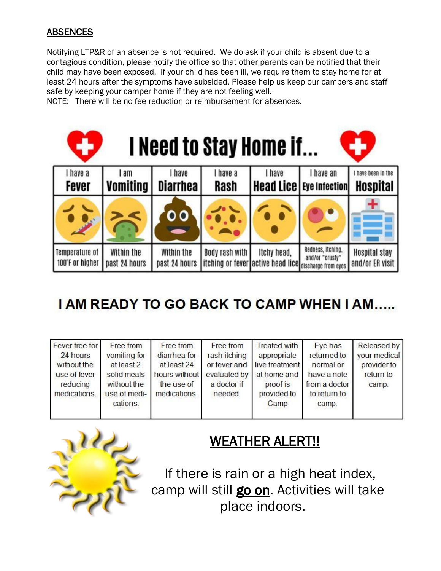# **ABSENCES**

Notifying LTP&R of an absence is not required. We do ask if your child is absent due to a contagious condition, please notify the office so that other parents can be notified that their child may have been exposed. If your child has been ill, we require them to stay home for at least 24 hours after the symptoms have subsided. Please help us keep our campers and staff safe by keeping your camper home if they are not feeling well.

NOTE: There will be no fee reduction or reimbursement for absences.



# **I AM READY TO GO BACK TO CAMP WHEN I AM.....**

| Fever free for | Free from    | Free from     | Free from    | <b>Treated with</b>         | Eye has       | Released by  |
|----------------|--------------|---------------|--------------|-----------------------------|---------------|--------------|
| 24 hours       | vomiting for | diarrhea for  | rash itching | appropriate                 | returned to   | your medical |
| without the    | at least 2   | at least 24   |              | or fever and live treatment | normal or     | provider to  |
| use of fever   | solid meals  | hours without |              | evaluated by at home and    | have a note   | return to    |
| reducing       | without the  | the use of    | a doctor if  | proof is                    | from a doctor | camp.        |
| medications.   | use of medi- | medications.  | needed.      | provided to                 | to return to  |              |
|                | cations.     |               |              | Camp                        | camp.         |              |
|                |              |               |              |                             |               |              |



# WEATHER ALERT!!

If there is rain or a high heat index, camp will still go on. Activities will take place indoors.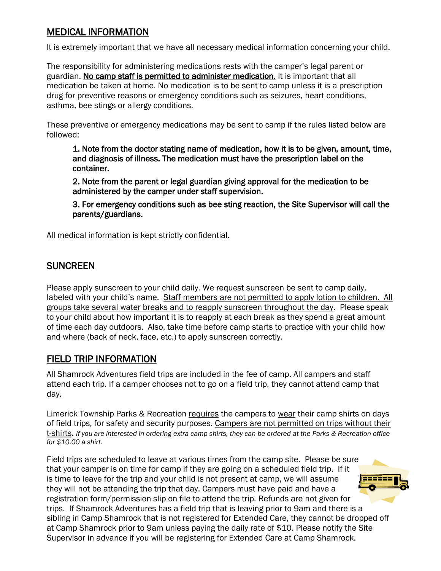# MEDICAL INFORMATION

It is extremely important that we have all necessary medical information concerning your child.

The responsibility for administering medications rests with the camper's legal parent or guardian. No camp staff is permitted to administer medication. It is important that all medication be taken at home. No medication is to be sent to camp unless it is a prescription drug for preventive reasons or emergency conditions such as seizures, heart conditions, asthma, bee stings or allergy conditions.

These preventive or emergency medications may be sent to camp if the rules listed below are followed:

 1. Note from the doctor stating name of medication, how it is to be given, amount, time, and diagnosis of illness. The medication must have the prescription label on the container.

 2. Note from the parent or legal guardian giving approval for the medication to be administered by the camper under staff supervision.

 3. For emergency conditions such as bee sting reaction, the Site Supervisor will call the parents/guardians.

All medical information is kept strictly confidential.

### **SUNCREEN**

Please apply sunscreen to your child daily. We request sunscreen be sent to camp daily, labeled with your child's name. Staff members are not permitted to apply lotion to children. All groups take several water breaks and to reapply sunscreen throughout the day. Please speak to your child about how important it is to reapply at each break as they spend a great amount of time each day outdoors. Also, take time before camp starts to practice with your child how and where (back of neck, face, etc.) to apply sunscreen correctly.

#### FIELD TRIP INFORMATION

All Shamrock Adventures field trips are included in the fee of camp. All campers and staff attend each trip. If a camper chooses not to go on a field trip, they cannot attend camp that day.

Limerick Township Parks & Recreation requires the campers to wear their camp shirts on days of field trips, for safety and security purposes. Campers are not permitted on trips without their t-shirts. *If you are interested in ordering extra camp shirts, they can be ordered at the Parks & Recreation office for \$10.00 a shirt.* 

Field trips are scheduled to leave at various times from the camp site. Please be sure that your camper is on time for camp if they are going on a scheduled field trip. If it is time to leave for the trip and your child is not present at camp, we will assume 22222 they will not be attending the trip that day. Campers must have paid and have a registration form/permission slip on file to attend the trip. Refunds are not given for trips. If Shamrock Adventures has a field trip that is leaving prior to 9am and there is a sibling in Camp Shamrock that is not registered for Extended Care, they cannot be dropped off at Camp Shamrock prior to 9am unless paying the daily rate of \$10. Please notify the Site Supervisor in advance if you will be registering for Extended Care at Camp Shamrock.